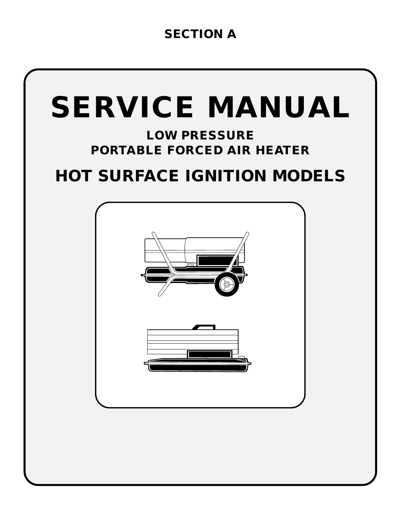# **SECTION A**

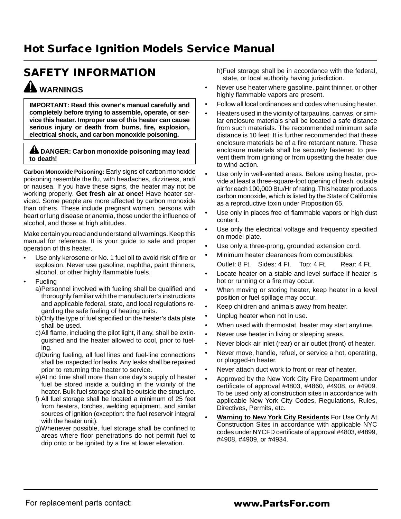# **SAFETY INFORMATION WARNINGS**

**IMPORTANT: Read this owner's manual carefully and completely before trying to assemble, operate, or service this heater. Improper use of this heater can cause serious injury or death from burns, fire, explosion, electrical shock, and carbon monoxide poisoning.**

#### **A DANGER: Carbon monoxide poisoning may lead to death!**

**Carbon Monoxide Poisoning:** Early signs of carbon monoxide poisoning resemble the flu, with headaches, dizziness, and/ or nausea. If you have these signs, the heater may not be working properly. **Get fresh air at once!** Have heater serviced. Some people are more affected by carbon monoxide than others. These include pregnant women, persons with heart or lung disease or anemia, those under the influence of alcohol, and those at high altitudes.

Make certain you read and understand all warnings. Keep this manual for reference. It is your guide to safe and proper operation of this heater.

- Use only kerosene or No. 1 fuel oil to avoid risk of fire or explosion. Never use gasoline, naphtha, paint thinners, alcohol, or other highly flammable fuels.
- **Fueling**

a)Personnel involved with fueling shall be qualified and thoroughly familiar with the manufacturer's instructions and applicable federal, state, and local regulations regarding the safe fueling of heating units.

- b)Only the type of fuel specified on the heater's data plate shall be used.
- c)All flame, including the pilot light, if any, shall be extinguished and the heater allowed to cool, prior to fueling.
- d)During fueling, all fuel lines and fuel-line connections shall be inspected for leaks. Any leaks shall be repaired prior to returning the heater to service.
- e)At no time shall more than one day's supply of heater fuel be stored inside a building in the vicinity of the heater. Bulk fuel storage shall be outside the structure.
- f) All fuel storage shall be located a minimum of 25 feet from heaters, torches, welding equipment, and similar sources of ignition (exception: the fuel reservoir integral with the heater unit).
- g)Whenever possible, fuel storage shall be confined to areas where floor penetrations do not permit fuel to drip onto or be ignited by a fire at lower elevation.

h)Fuel storage shall be in accordance with the federal, state, or local authority having jurisdiction.

- Never use heater where gasoline, paint thinner, or other highly flammable vapors are present.
- Follow all local ordinances and codes when using heater.
- Heaters used in the vicinity of tarpaulins, canvas, or similar enclosure materials shall be located a safe distance from such materials. The recommended minimum safe distance is 10 feet. It is further recommended that these enclosure materials be of a fire retardant nature. These enclosure materials shall be securely fastened to prevent them from igniting or from upsetting the heater due to wind action.
- Use only in well-vented areas. Before using heater, provide at least a three-square-foot opening of fresh, outside air for each 100,000 Btu/Hr of rating. This heater produces carbon monoxide, which is listed by the State of California as a reproductive toxin under Proposition 65.
- Use only in places free of flammable vapors or high dust content.
- Use only the electrical voltage and frequency specified on model plate.
- Use only a three-prong, grounded extension cord.
- Minimum heater clearances from combustibles: Outlet: 8 Ft. Sides: 4 Ft. Top: 4 Ft. Rear: 4 Ft.
- Locate heater on a stable and level surface if heater is hot or running or a fire may occur.
- When moving or storing heater, keep heater in a level position or fuel spillage may occur.
- Keep children and animals away from heater.
- Unplug heater when not in use.
- When used with thermostat, heater may start anytime.
- Never use heater in living or sleeping areas.
- Never block air inlet (rear) or air outlet (front) of heater.
- Never move, handle, refuel, or service a hot, operating, or plugged-in heater.
- Never attach duct work to front or rear of heater.
- Approved by the New York City Fire Department under certificate of approval #4803, #4860, #4908, or #4909. To be used only at construction sites in accordance with applicable New York City Codes, Regulations, Rules, Directives, Permits, etc.
- **Warning to New York City Residents** For Use Only At Construction Sites in accordance with applicable NYC codes under NYCFD certificate of approval #4803, #4899, #4908, #4909, or #4934.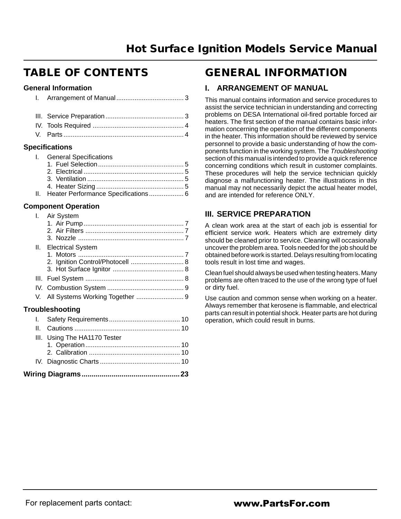# **TABLE OF CONTENTS**

#### **General Information**

| <b>Specifications</b> |
|-----------------------|
|                       |
|                       |
|                       |
|                       |

| I. General Specifications               |  |
|-----------------------------------------|--|
|                                         |  |
|                                         |  |
|                                         |  |
|                                         |  |
| II. Heater Performance Specifications 6 |  |

#### **Component Operation**

| L. | Air System                       |  |
|----|----------------------------------|--|
|    |                                  |  |
|    |                                  |  |
|    | II. Electrical System            |  |
|    |                                  |  |
|    | 2. Ignition Control/Photocell  8 |  |
|    |                                  |  |
|    |                                  |  |
| V. | All Systems Working Together  9  |  |
|    | <b>Troubleshooting</b>           |  |
|    |                                  |  |
| Ш. |                                  |  |
|    | III. Using The HA1170 Tester     |  |
|    |                                  |  |
|    |                                  |  |
|    |                                  |  |
|    |                                  |  |

# **GENERAL INFORMATION**

### **I. ARRANGEMENT OF MANUAL**

This manual contains information and service procedures to assist the service technician in understanding and correcting problems on DESA International oil-fired portable forced air heaters. The first section of the manual contains basic information concerning the operation of the different components in the heater. This information should be reviewed by service personnel to provide a basic understanding of how the components function in the working system. The Troubleshooting section of this manual is intended to provide a quick reference concerning conditions which result in customer complaints. These procedures will help the service technician quickly diagnose a malfunctioning heater. The illustrations in this manual may not necessarily depict the actual heater model, and are intended for reference ONLY.

## **III. SERVICE PREPARATION**

A clean work area at the start of each job is essential for efficient service work. Heaters which are extremely dirty should be cleaned prior to service. Cleaning will occasionally uncover the problem area. Tools needed for the job should be obtained before work is started. Delays resulting from locating tools result in lost time and wages.

Clean fuel should always be used when testing heaters. Many problems are often traced to the use of the wrong type of fuel or dirty fuel.

Use caution and common sense when working on a heater. Always remember that kerosene is flammable, and electrical parts can result in potential shock. Heater parts are hot during operation, which could result in burns.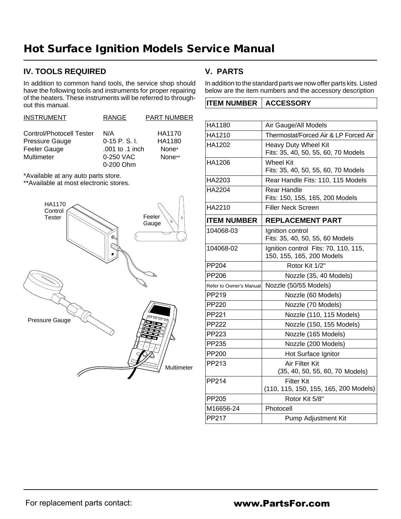## **IV. TOOLS REQUIRED**

In addition to common hand tools, the service shop should have the following tools and instruments for proper repairing of the heaters. These instruments will be referred to throughout this manual.

| <b>INSTRUMENT</b>        | <b>RANGE</b>    | <b>PART NUMBER</b> |
|--------------------------|-----------------|--------------------|
| Control/Photocell Tester | N/A             | HA1170             |
| Pressure Gauge           | $0-15$ P. S. I. | HA1180             |
| Feeler Gauge             | .001 to .1 inch | None*              |
| Multimeter               | 0-250 VAC       | None**             |
|                          | 0-200 Ohm       |                    |

\*Available at any auto parts store.

\*\*Available at most electronic stores.



# **V. PARTS**

In addition to the standard parts we now offer parts kits. Listed below are the item numbers and the accessory description

|  | <b>ITEM NUMBER   ACCESSORY</b> |  |
|--|--------------------------------|--|
|--|--------------------------------|--|

| HA1180                  | Air Gauge/All Models                                              |
|-------------------------|-------------------------------------------------------------------|
| HA1210                  | Thermostat/Forced Air & LP Forced Air                             |
| HA1202                  | Heavy Duty Wheel Kit<br>Fits: 35, 40, 50, 55, 60, 70 Models       |
| HA1206                  | <b>Wheel Kit</b><br>Fits: 35, 40, 50, 55, 60, 70 Models           |
| HA2203                  | Rear Handle Fits: 110, 115 Models                                 |
| <b>HA2204</b>           | Rear Handle<br>Fits: 150, 155, 165, 200 Models                    |
| HA2210                  | <b>Filler Neck Screen</b>                                         |
| <b>ITEM NUMBER</b>      | <b>REPLACEMENT PART</b>                                           |
| 104068-03               | Ignition control<br>Fits: 35, 40, 50, 55, 60 Models               |
| 104068-02               | Ignition control Fits: 70, 110, 115,<br>150, 155, 165, 200 Models |
| PP204                   | Rotor Kit 1/2"                                                    |
| PP206                   | Nozzle (35, 40 Models)                                            |
| Refer to Owner's Manual | Nozzle (50/55 Models)                                             |
| PP219                   | Nozzle (60 Models)                                                |
| <b>PP220</b>            | Nozzle (70 Models)                                                |
| PP221                   | Nozzle (110, 115 Models)                                          |
| <b>PP222</b>            | Nozzle (150, 155 Models)                                          |
| PP223                   | Nozzle (165 Models)                                               |
| PP235                   | Nozzle (200 Models)                                               |
| PP200                   | Hot Surface Ignitor                                               |
| PP213                   | Air Filter Kit<br>(35, 40, 50, 55, 60, 70 Models)                 |
| PP214                   | <b>Filter Kit</b><br>(110, 115, 150, 155, 165, 200 Models)        |
| <b>PP205</b>            | Rotor Kit 5/8"                                                    |
| M16656-24               | Photocell                                                         |
| <b>PP217</b>            | <b>Pump Adjustment Kit</b>                                        |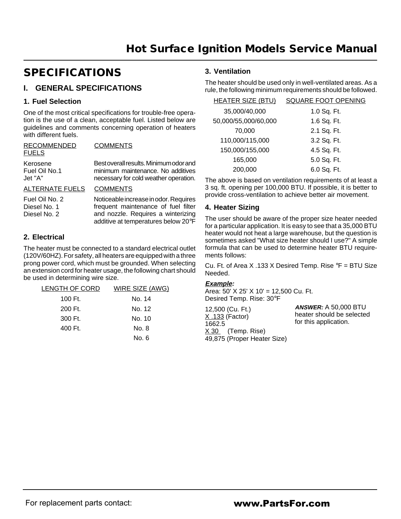# **SPECIFICATIONS**

## **I. GENERAL SPECIFICATIONS**

#### **1. Fuel Selection**

One of the most critical specifications for trouble-free operation is the use of a clean, acceptable fuel. Listed below are guidelines and comments concerning operation of heaters with different fuels.

| RECOMMENDED<br><b>FUELS</b>          | <b>COMMENTS</b>                                                                                                      |
|--------------------------------------|----------------------------------------------------------------------------------------------------------------------|
| Kerosene<br>Fuel Oil No.1<br>Jet "A" | Best overall results. Minimum odor and<br>minimum maintenance. No additives<br>necessary for cold weather operation. |
| ALTERNATE FUELS COMMENTS             |                                                                                                                      |

Fuel Oil No. 2 Diesel No. 1 Diesel No. 2 Noticeable increase in odor. Requires frequent maintenance of fuel filter and nozzle. Requires a winterizing additive at temperatures below 20°F

#### **2. Electrical**

The heater must be connected to a standard electrical outlet (120V/60HZ). For safety, all heaters are equipped with a three prong power cord, which must be grounded. When selecting an extension cord for heater usage, the following chart should be used in determining wire size.

| LENGTH OF CORD | WIRE SIZE (AWG) |
|----------------|-----------------|
| 100 Ft.        | No. 14          |
| 200 Ft.        | No. 12          |
| 300 Ft.        | No. 10          |
| 400 Ft.        | No. 8           |
|                | No. 6           |

#### **3. Ventilation**

The heater should be used only in well-ventilated areas. As a rule, the following minimum requirements should be followed.

| <b>HEATER SIZE (BTU)</b> | <b>SQUARE FOOT OPENING</b> |
|--------------------------|----------------------------|
| 35,000/40,000            | 1.0 Sq. Ft.                |
| 50,000/55,000/60,000     | 1.6 Sq. Ft.                |
| 70,000                   | 2.1 Sq. Ft.                |
| 110,000/115,000          | 3.2 Sq. Ft.                |
| 150,000/155,000          | 4.5 Sq. Ft.                |
| 165,000                  | 5.0 Sq. Ft.                |
| 200,000                  | 6.0 Sq. Ft.                |

The above is based on ventilation requirements of at least a 3 sq. ft. opening per 100,000 BTU. If possible, it is better to provide cross-ventilation to achieve better air movement.

#### **4. Heater Sizing**

The user should be aware of the proper size heater needed for a particular application. It is easy to see that a 35,000 BTU heater would not heat a large warehouse, but the question is sometimes asked "What size heater should I use?" A simple formula that can be used to determine heater BTU requirements follows:

Cu. Ft. of Area X .133 X Desired Temp. Rise  $\degree$ F = BTU Size Needed.

#### **Example:**

Area: 50' X 25' X 10' = 12,500 Cu. Ft. Desired Temp. Rise: 30°F

| 12,500 (Cu. Ft.)<br>$X.133$ (Factor)                         | <b>ANSWER: A 50,000 BTU</b><br>heater should be selected<br>for this application. |
|--------------------------------------------------------------|-----------------------------------------------------------------------------------|
| 1662.5<br>$X$ 30 (Temp. Rise)<br>49,875 (Proper Heater Size) |                                                                                   |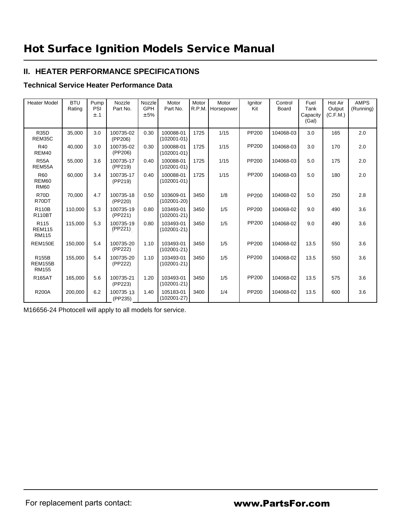## **II. HEATER PERFORMANCE SPECIFICATIONS**

#### **Technical Service Heater Performance Data**

| <b>Heater Model</b>                               | <b>BTU</b><br>Rating | Pump<br>PSI<br>±.1 | Nozzle<br>Part No.   | Nozzle<br><b>GPH</b><br>± 5% | Motor<br>Part No.            | Motor<br>R.P.M. | Motor<br>Horsepower | Ignitor<br>Kit | Control<br>Board | Fuel<br>Tank<br>Capacity<br>(Gal) | Hot Air<br>Output<br>(C.F.M.) | <b>AMPS</b><br>(Running) |
|---------------------------------------------------|----------------------|--------------------|----------------------|------------------------------|------------------------------|-----------------|---------------------|----------------|------------------|-----------------------------------|-------------------------------|--------------------------|
| <b>R35D</b><br>REM35C                             | 35,000               | 3.0                | 100735-02<br>(PP206) | 0.30                         | 100088-01<br>$(102001 - 01)$ | 1725            | 1/15                | PP200          | 104068-03        | 3.0                               | 165                           | 2.0                      |
| R40<br>REM40                                      | 40.000               | 3.0                | 100735-02<br>(PP206) | 0.30                         | 100088-01<br>$(102001 - 01)$ | 1725            | 1/15                | PP200          | 104068-03        | 3.0                               | 170                           | 2.0                      |
| <b>R55A</b><br>REM55A                             | 55,000               | 3.6                | 100735-17<br>(PP219) | 0.40                         | 100088-01<br>$(102001 - 01)$ | 1725            | 1/15                | PP200          | 104068-03        | 5.0                               | 175                           | 2.0                      |
| R60<br>REM60<br><b>RM60</b>                       | 60.000               | 3.4                | 100735-17<br>(PP219) | 0.40                         | 100088-01<br>$(102001 - 01)$ | 1725            | 1/15                | PP200          | 104068-03        | 5.0                               | 180                           | 2.0                      |
| <b>R70D</b><br>R70DT                              | 70,000               | 4.7                | 100735-18<br>(PP220) | 0.50                         | 103609-01<br>$(102001 - 20)$ | 3450            | 1/8                 | PP200          | 104068-02        | 5.0                               | 250                           | 2.8                      |
| <b>R110B</b><br><b>R110BT</b>                     | 110.000              | 5.3                | 100735-19<br>(PP221) | 0.80                         | 103493-01<br>$(102001 - 21)$ | 3450            | 1/5                 | PP200          | 104068-02        | 9.0                               | 490                           | 3.6                      |
| R <sub>115</sub><br><b>REM115</b><br><b>RM115</b> | 115,000              | 5.3                | 100735-19<br>(PP221) | 0.80                         | 103493-01<br>$(102001 - 21)$ | 3450            | 1/5                 | PP200          | 104068-02        | 9.0                               | 490                           | 3.6                      |
| <b>REM150E</b>                                    | 150.000              | 5.4                | 100735-20<br>(PP222) | 1.10                         | 103493-01<br>$(102001 - 21)$ | 3450            | 1/5                 | PP200          | 104068-02        | 13.5                              | 550                           | 3.6                      |
| R155B<br><b>REM155B</b><br><b>RM155</b>           | 155,000              | 5.4                | 100735-20<br>(PP222) | 1.10                         | 103493-01<br>$(102001 - 21)$ | 3450            | 1/5                 | PP200          | 104068-02        | 13.5                              | 550                           | 3.6                      |
| <b>R165AT</b>                                     | 165,000              | 5.6                | 100735-21<br>(PP223) | 1.20                         | 103493-01<br>$(102001 - 21)$ | 3450            | 1/5                 | PP200          | 104068-02        | 13.5                              | 575                           | 3.6                      |
| <b>R200A</b>                                      | 200,000              | 6.2                | 100735 13<br>(PP235) | 1.40                         | 105183-01<br>$(102001 - 27)$ | 3400            | 1/4                 | PP200          | 104068-02        | 13.5                              | 600                           | 3.6                      |

M16656-24 Photocell will apply to all models for service.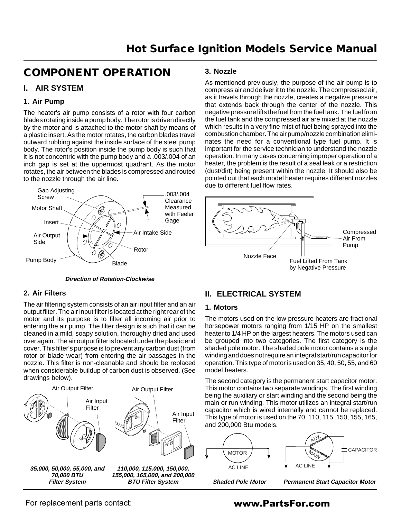# **COMPONENT OPERATION**

### **I. AIR SYSTEM**

#### **1. Air Pump**

The heater's air pump consists of a rotor with four carbon blades rotating inside a pump body. The rotor is driven directly by the motor and is attached to the motor shaft by means of a plastic insert. As the motor rotates, the carbon blades travel outward rubbing against the inside surface of the steel pump body. The rotor's position inside the pump body is such that it is not concentric with the pump body and a .003/.004 of an inch gap is set at the uppermost quadrant. As the motor rotates, the air between the blades is compressed and routed to the nozzle through the air line.



#### **Direction of Rotation-Clockwise**

#### **3. Nozzle**

As mentioned previously, the purpose of the air pump is to compress air and deliver it to the nozzle. The compressed air, as it travels through the nozzle, creates a negative pressure that extends back through the center of the nozzle. This negative pressure lifts the fuel from the fuel tank. The fuel from the fuel tank and the compressed air are mixed at the nozzle which results in a very fine mist of fuel being sprayed into the combustion chamber. The air pump/nozzle combination eliminates the need for a conventional type fuel pump. It is important for the service technician to understand the nozzle operation. In many cases concerning improper operation of a heater, the problem is the result of a seal leak or a restriction (dust/dirt) being present within the nozzle. It should also be pointed out that each model heater requires different nozzles due to different fuel flow rates.



#### **2. Air Filters**

The air filtering system consists of an air input filter and an air output filter. The air input filter is located at the right rear of the motor and its purpose is to filter all incoming air prior to entering the air pump. The filter design is such that it can be cleaned in a mild, soapy solution, thoroughly dried and used over again. The air output filter is located under the plastic end cover. This filter's purpose is to prevent any carbon dust (from rotor or blade wear) from entering the air passages in the nozzle. This filter is non-cleanable and should be replaced when considerable buildup of carbon dust is observed. (See drawings below).



## **II. ELECTRICAL SYSTEM**

#### **1. Motors**

The motors used on the low pressure heaters are fractional horsepower motors ranging from 1/15 HP on the smallest heater to 1/4 HP on the largest heaters. The motors used can be grouped into two categories. The first category is the shaded pole motor. The shaded pole motor contains a single winding and does not require an integral start/run capacitor for operation. This type of motor is used on 35, 40, 50, 55, and 60 model heaters.

The second category is the permanent start capacitor motor. This motor contains two separate windings. The first winding being the auxiliary or start winding and the second being the main or run winding. This motor utilizes an integral start/run capacitor which is wired internally and cannot be replaced. This type of motor is used on the 70, 110, 115, 150, 155, 165, and 200,000 Btu models.



For replacement parts contact: www.PartsFor.com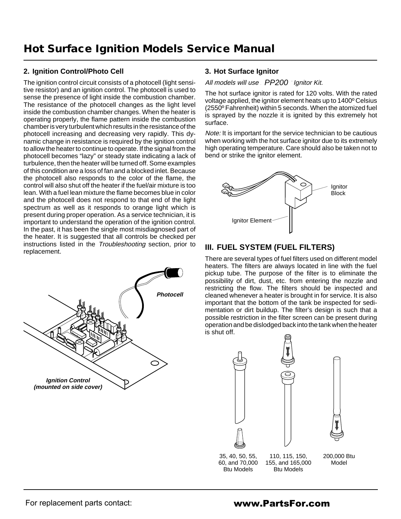#### **2. Ignition Control/Photo Cell**

The ignition control circuit consists of a photocell (light sensitive resistor) and an ignition control. The photocell is used to sense the presence of light inside the combustion chamber. The resistance of the photocell changes as the light level inside the combustion chamber changes. When the heater is operating properly, the flame pattern inside the combustion chamber is very turbulent which results in the resistance of the photocell increasing and decreasing very rapidly. This dynamic change in resistance is required by the ignition control to allow the heater to continue to operate. If the signal from the photocell becomes "lazy" or steady state indicating a lack of turbulence, then the heater will be turned off. Some examples of this condition are a loss of fan and a blocked inlet. Because the photocell also responds to the color of the flame, the control will also shut off the heater if the fuel/air mixture is too lean. With a fuel lean mixture the flame becomes blue in color and the photocell does not respond to that end of the light spectrum as well as it responds to orange light which is present during proper operation. As a service technician, it is important to understand the operation of the ignition control. In the past, it has been the single most misdiagnosed part of the heater. It is suggested that all controls be checked per instructions listed in the Troubleshooting section, prior to replacement.



#### **3. Hot Surface Ignitor**

#### All models will use PP200 Ignitor Kit.

The hot surface ignitor is rated for 120 volts. With the rated voltage applied, the ignitor element heats up to 1400º Celsius (2550º Fahrenheit) within 5 seconds. When the atomized fuel is sprayed by the nozzle it is ignited by this extremely hot surface.

Note: It is important for the service technician to be cautious when working with the hot surface ignitor due to its extremely high operating temperature. Care should also be taken not to bend or strike the ignitor element.



## **III. FUEL SYSTEM (FUEL FILTERS)**

There are several types of fuel filters used on different model heaters. The filters are always located in line with the fuel pickup tube. The purpose of the filter is to eliminate the possibility of dirt, dust, etc. from entering the nozzle and restricting the flow. The filters should be inspected and cleaned whenever a heater is brought in for service. It is also important that the bottom of the tank be inspected for sedimentation or dirt buildup. The filter's design is such that a possible restriction in the filter screen can be present during operation and be dislodged back into the tank when the heater is shut off.





200,000 Btu Model

35, 40, 50, 55, 60, and 70,000 Btu Models

110, 115, 150, 155, and 165,000 Btu Models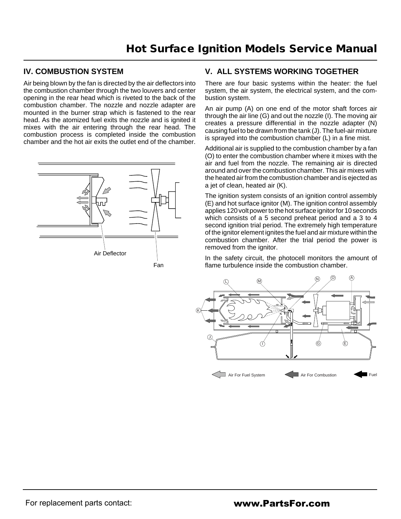## **IV. COMBUSTION SYSTEM**

Air being blown by the fan is directed by the air deflectors into the combustion chamber through the two louvers and center opening in the rear head which is riveted to the back of the combustion chamber. The nozzle and nozzle adapter are mounted in the burner strap which is fastened to the rear head. As the atomized fuel exits the nozzle and is ignited it mixes with the air entering through the rear head. The combustion process is completed inside the combustion chamber and the hot air exits the outlet end of the chamber.



## **V. ALL SYSTEMS WORKING TOGETHER**

There are four basic systems within the heater: the fuel system, the air system, the electrical system, and the combustion system.

An air pump (A) on one end of the motor shaft forces air through the air line (G) and out the nozzle (I). The moving air creates a pressure differential in the nozzle adapter (N) causing fuel to be drawn from the tank (J). The fuel-air mixture is sprayed into the combustion chamber (L) in a fine mist.

Additional air is supplied to the combustion chamber by a fan (O) to enter the combustion chamber where it mixes with the air and fuel from the nozzle. The remaining air is directed around and over the combustion chamber. This air mixes with the heated air from the combustion chamber and is ejected as a jet of clean, heated air (K).

The ignition system consists of an ignition control assembly (E) and hot surface ignitor (M). The ignition control assembly applies 120 volt power to the hot surface ignitor for 10 seconds which consists of a 5 second preheat period and a 3 to 4 second ignition trial period. The extremely high temperature of the ignitor element ignites the fuel and air mixture within the combustion chamber. After the trial period the power is removed from the ignitor.

In the safety circuit, the photocell monitors the amount of flame turbulence inside the combustion chamber.

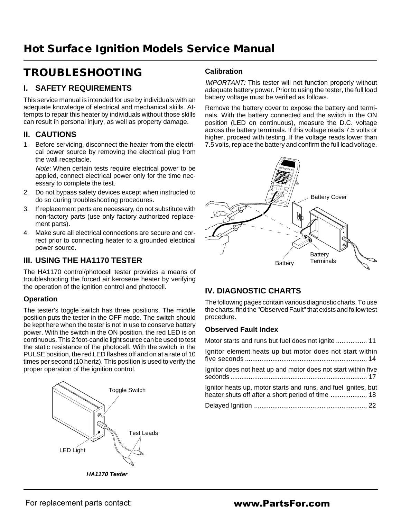# **TROUBLESHOOTING**

## **I. SAFETY REQUIREMENTS**

This service manual is intended for use by individuals with an adequate knowledge of electrical and mechanical skills. Attempts to repair this heater by individuals without those skills can result in personal injury, as well as property damage.

## **II. CAUTIONS**

1. Before servicing, disconnect the heater from the electrical power source by removing the electrical plug from the wall receptacle.

Note: When certain tests require electrical power to be applied, connect electrical power only for the time necessary to complete the test.

- 2. Do not bypass safety devices except when instructed to do so during troubleshooting procedures.
- 3. If replacement parts are necessary, do not substitute with non-factory parts (use only factory authorized replacement parts).
- 4. Make sure all electrical connections are secure and correct prior to connecting heater to a grounded electrical power source.

## **III. USING THE HA1170 TESTER**

The HA1170 control/photocell tester provides a means of troubleshooting the forced air kerosene heater by verifying the operation of the ignition control and photocell.

#### **Operation**

The tester's toggle switch has three positions. The middle position puts the tester in the OFF mode. The switch should be kept here when the tester is not in use to conserve battery power. With the switch in the ON position, the red LED is on continuous. This 2 foot-candle light source can be used to test the static resistance of the photocell. With the switch in the PULSE position, the red LED flashes off and on at a rate of 10 times per second (10 hertz). This position is used to verify the proper operation of the ignition control.



**Calibration**

IMPORTANT: This tester will not function properly without adequate battery power. Prior to using the tester, the full load battery voltage must be verified as follows.

Remove the battery cover to expose the battery and terminals. With the battery connected and the switch in the ON position (LED on continuous), measure the D.C. voltage across the battery terminals. If this voltage reads 7.5 volts or higher, proceed with testing. If the voltage reads lower than 7.5 volts, replace the battery and confirm the full load voltage.



# **IV. DIAGNOSTIC CHARTS**

The following pages contain various diagnostic charts. To use the charts, find the "Observed Fault" that exists and follow test procedure.

## **Observed Fault Index**

| Motor starts and runs but fuel does not ignite  11                                                                  |  |
|---------------------------------------------------------------------------------------------------------------------|--|
| Ignitor element heats up but motor does not start within                                                            |  |
| Ignitor does not heat up and motor does not start within five                                                       |  |
| Ignitor heats up, motor starts and runs, and fuel ignites, but<br>heater shuts off after a short period of time  18 |  |
|                                                                                                                     |  |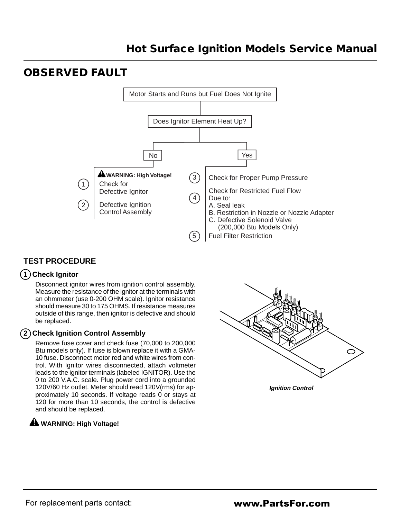# **OBSERVED FAULT**



# **TEST PROCEDURE**

## **1 Check Ignitor**

Disconnect ignitor wires from ignition control assembly. Measure the resistance of the ignitor at the terminals with an ohmmeter (use 0-200 OHM scale). Ignitor resistance should measure 30 to 175 OHMS. If resistance measures outside of this range, then ignitor is defective and should be replaced.

## **2 Check Ignition Control Assembly**

Remove fuse cover and check fuse (70,000 to 200,000 Btu models only). If fuse is blown replace it with a GMA-10 fuse. Disconnect motor red and white wires from control. With Ignitor wires disconnected, attach voltmeter leads to the ignitor terminals (labeled IGNITOR). Use the 0 to 200 V.A.C. scale. Plug power cord into a grounded 120V/60 Hz outlet. Meter should read 120V(rms) for approximately 10 seconds. If voltage reads 0 or stays at 120 for more than 10 seconds, the control is defective and should be replaced.

# **WARNING: High Voltage!**



**Ignition Control**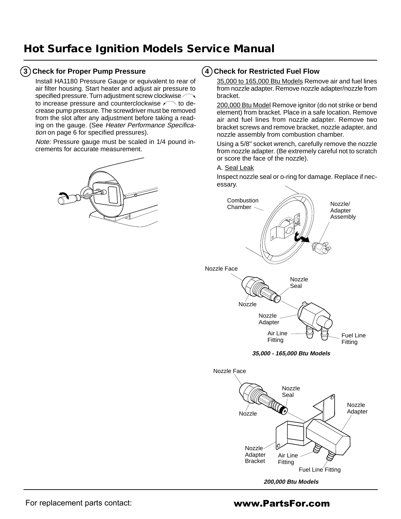### **3 Check for Proper Pump Pressure**

Install HA1180 Pressure Gauge or equivalent to rear of air filter housing. Start heater and adjust air pressure to specified pressure. Turn adjustment screw clockwise to increase pressure and counterclockwise  $\curvearrowleft$  to decrease pump pressure. The screwdriver must be removed from the slot after any adjustment before taking a reading on the gauge. (See Heater Performance Specification on page 6 for specified pressures).

Note: Pressure gauge must be scaled in 1/4 pound increments for accurate measurement.



#### **4 Check for Restricted Fuel Flow**

35,000 to 165,000 Btu Models Remove air and fuel lines from nozzle adapter. Remove nozzle adapter/nozzle from bracket.

200,000 Btu Model Remove ignitor (do not strike or bend element) from bracket. Place in a safe location. Remove air and fuel lines from nozzle adapter. Remove two bracket screws and remove bracket, nozzle adapter, and nozzle assembly from combustion chamber.

Using a 5/8" socket wrench, carefully remove the nozzle from nozzle adapter. (Be extremely careful not to scratch or score the face of the nozzle).

A. Seal Leak

Inspect nozzle seal or o-ring for damage. Replace if necessary.



**200,000 Btu Models**

Fuel Line Fitting

Fitting

For replacement parts contact: **www.PartsFor.com** 

Bracket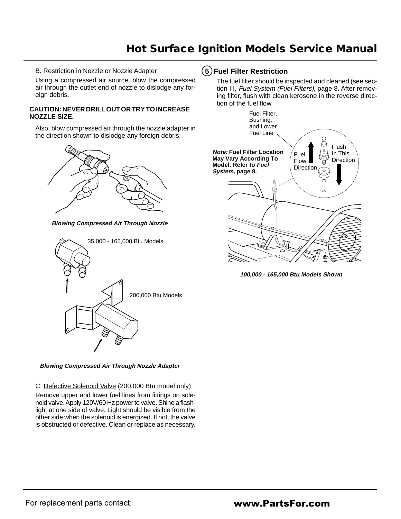#### B. Restriction in Nozzle or Nozzle Adapter

Using a compressed air source, blow the compressed air through the outlet end of nozzle to dislodge any foreign debris.

#### **CAUTION: NEVER DRILL OUT OR TRY TO INCREASE NOZZLE SIZE.**

Also, blow compressed air through the nozzle adapter in the direction shown to dislodge any foreign debris.



**Blowing Compressed Air Through Nozzle**



**Blowing Compressed Air Through Nozzle Adapter**

#### C. Defective Solenoid Valve (200,000 Btu model only)

Remove upper and lower fuel lines from fittings on solenoid valve. Apply 120V/60 Hz power to valve. Shine a flashlight at one side of valve. Light should be visible from the other side when the solenoid is energized. If not, the valve is obstructed or defective. Clean or replace as necessary.

### **5 Fuel Filter Restriction**

The fuel filter should be inspected and cleaned (see section III, Fuel System (Fuel Filters), page 8. After removing filter, flush with clean kerosene in the reverse direction of the fuel flow.



**100,000 - 165,000 Btu Models Shown**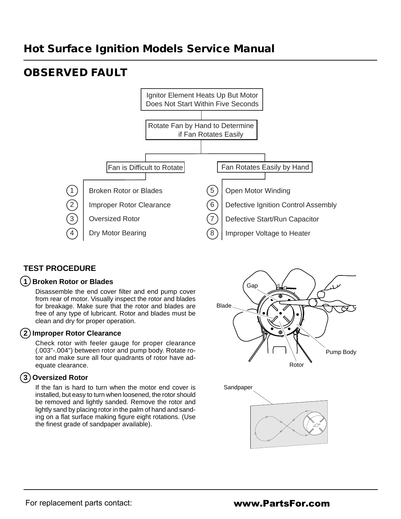# **OBSERVED FAULT**



# **TEST PROCEDURE**

## **1 Broken Rotor or Blades**

Disassemble the end cover filter and end pump cover from rear of motor. Visually inspect the rotor and blades for breakage. Make sure that the rotor and blades are free of any type of lubricant. Rotor and blades must be clean and dry for proper operation.

#### **2 Improper Rotor Clearance**

Check rotor with feeler gauge for proper clearance (.003"-.004") between rotor and pump body. Rotate rotor and make sure all four quadrants of rotor have adequate clearance.

## **3 Oversized Rotor**

If the fan is hard to turn when the motor end cover is installed, but easy to turn when loosened, the rotor should be removed and lightly sanded. Remove the rotor and lightly sand by placing rotor in the palm of hand and sanding on a flat surface making figure eight rotations. (Use the finest grade of sandpaper available).



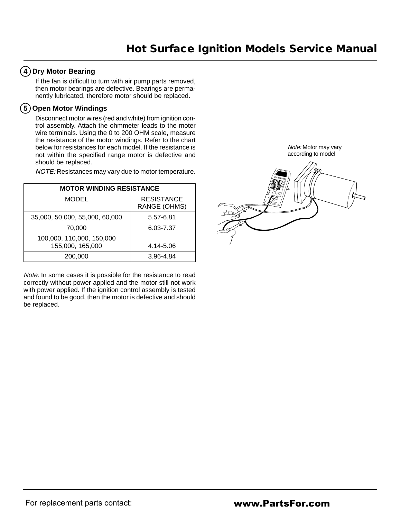## **4 Dry Motor Bearing**

If the fan is difficult to turn with air pump parts removed, then motor bearings are defective. Bearings are permanently lubricated, therefore motor should be replaced.

### **5 Open Motor Windings**

Disconnect motor wires (red and white) from ignition control assembly. Attach the ohmmeter leads to the moter wire terminals. Using the 0 to 200 OHM scale, measure the resistance of the motor windings. Refer to the chart below for resistances for each model. If the resistance is not within the specified range motor is defective and should be replaced.

NOTE: Resistances may vary due to motor temperature.

| <b>MOTOR WINDING RESISTANCE</b>               |                                   |
|-----------------------------------------------|-----------------------------------|
| <b>MODEL</b>                                  | <b>RESISTANCE</b><br>RANGE (OHMS) |
| 35,000, 50,000, 55,000, 60,000                | 5.57-6.81                         |
| 70,000                                        | 6.03-7.37                         |
| 100,000, 110,000, 150,000<br>155,000, 165,000 | 4.14-5.06                         |
| 200,000                                       | 3.96-4.84                         |

Note: In some cases it is possible for the resistance to read correctly without power applied and the motor still not work with power applied. If the ignition control assembly is tested and found to be good, then the motor is defective and should be replaced.

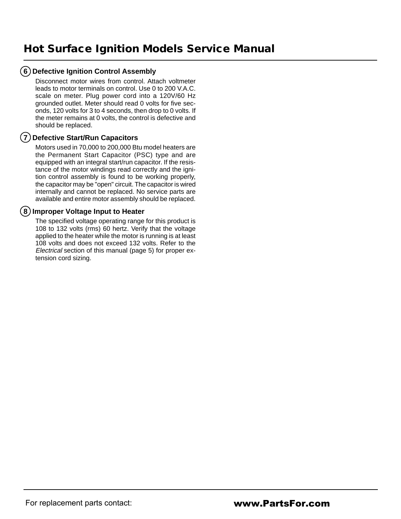## **6 Defective Ignition Control Assembly**

Disconnect motor wires from control. Attach voltmeter leads to motor terminals on control. Use 0 to 200 V.A.C. scale on meter. Plug power cord into a 120V/60 Hz grounded outlet. Meter should read 0 volts for five seconds, 120 volts for 3 to 4 seconds, then drop to 0 volts. If the meter remains at 0 volts, the control is defective and should be replaced.

### **7 Defective Start/Run Capacitors**

Motors used in 70,000 to 200,000 Btu model heaters are the Permanent Start Capacitor (PSC) type and are equipped with an integral start/run capacitor. If the resistance of the motor windings read correctly and the ignition control assembly is found to be working properly, the capacitor may be "open" circuit. The capacitor is wired internally and cannot be replaced. No service parts are available and entire motor assembly should be replaced.

### **8 Improper Voltage Input to Heater**

The specified voltage operating range for this product is 108 to 132 volts (rms) 60 hertz. Verify that the voltage applied to the heater while the motor is running is at least 108 volts and does not exceed 132 volts. Refer to the Electrical section of this manual (page 5) for proper extension cord sizing.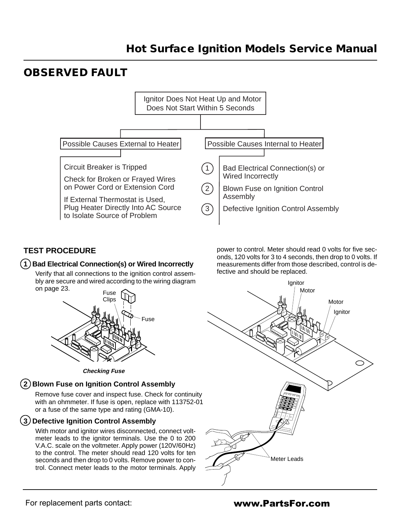# **OBSERVED FAULT**



## **TEST PROCEDURE**

#### **1 Bad Electrical Connection(s) or Wired Incorrectly**

Verify that all connections to the ignition control assembly are secure and wired according to the wiring diagram on page 23.



**Checking Fuse**

# **2 Blown Fuse on Ignition Control Assembly**

Remove fuse cover and inspect fuse. Check for continuity with an ohmmeter. If fuse is open, replace with 113752-01 of the same type and rating (GMA-10). or a fuse of the same type and rating (GMA-10).

## **3 Defective Ignition Control Assembly**

With motor and ignitor wires disconnected, connect voltmeter leads to the ignitor terminals. Use the 0 to 200 V.A.C. scale on the voltmeter. Apply power (120V/60Hz) to the control. The meter should read 120 volts for ten seconds and then drop to 0 volts. Remove power to control. Connect meter leads to the motor terminals. Apply power to control. Meter should read 0 volts for five seconds, 120 volts for 3 to 4 seconds, then drop to 0 volts. If measurements differ from those described, control is defective and should be replaced.

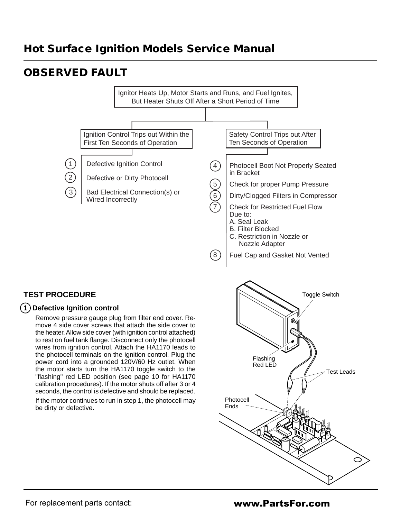# **OBSERVED FAULT**



8

# **TEST PROCEDURE**

#### **1 Defective Ignition control**

Remove pressure gauge plug from filter end cover. Remove 4 side cover screws that attach the side cover to the heater. Allow side cover (with ignition control attached) to rest on fuel tank flange. Disconnect only the photocell wires from ignition control. Attach the HA1170 leads to the photocell terminals on the ignition control. Plug the power cord into a grounded 120V/60 Hz outlet. When the motor starts turn the HA1170 toggle switch to the "flashing" red LED position (see page 10 for HA1170 calibration procedures). If the motor shuts off after 3 or 4 seconds, the control is defective and should be replaced.

If the motor continues to run in step 1, the photocell may be dirty or defective.



Nozzle Adapter

Fuel Cap and Gasket Not Vented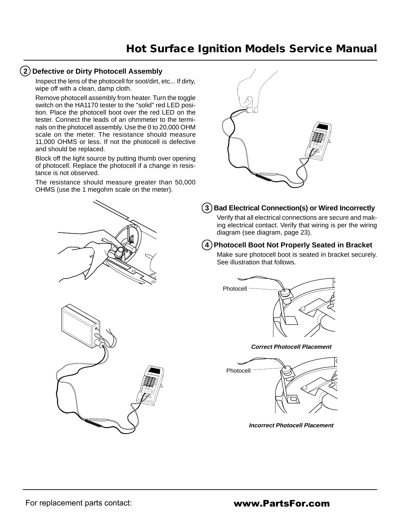#### **2 Defective or Dirty Photocell Assembly**

Inspect the lens of the photocell for soot/dirt, etc... If dirty, wipe off with a clean, damp cloth.

Remove photocell assembly from heater. Turn the toggle switch on the HA1170 tester to the "solid" red LED position. Place the photocell boot over the red LED on the tester. Connect the leads of an ohmmeter to the terminals on the photocell assembly. Use the 0 to 20,000 OHM scale on the meter. The resistance should measure 11,000 OHMS or less. If not the photocell is defective and should be replaced.

Block off the light source by putting thumb over opening of photocell. Replace the photocell if a change in resistance is not observed.

The resistance should measure greater than 50,000 OHMS (use the 1 megohm scale on the meter).





### **3 Bad Electrical Connection(s) or Wired Incorrectly**

Verify that all electrical connections are secure and making electrical contact. Verify that wiring is per the wiring diagram (see diagram, page 23).

### **4 Photocell Boot Not Properly Seated in Bracket**

Make sure photocell boot is seated in bracket securely. See illustration that follows.







**Incorrect Photocell Placement**

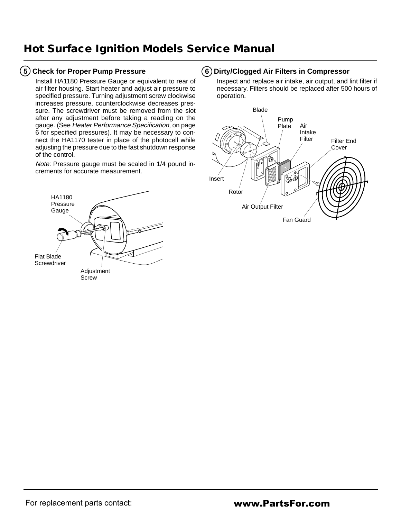### **5 Check for Proper Pump Pressure**

Install HA1180 Pressure Gauge or equivalent to rear of air filter housing. Start heater and adjust air pressure to specified pressure. Turning adjustment screw clockwise increases pressure, counterclockwise decreases pressure. The screwdriver must be removed from the slot after any adjustment before taking a reading on the gauge. (See Heater Performance Specification, on page 6 for specified pressures). It may be necessary to connect the HA1170 tester in place of the photocell while adjusting the pressure due to the fast shutdown response of the control.

Note: Pressure gauge must be scaled in 1/4 pound increments for accurate measurement.



### **6 Dirty/Clogged Air Filters in Compressor**

Inspect and replace air intake, air output, and lint filter if necessary. Filters should be replaced after 500 hours of operation.

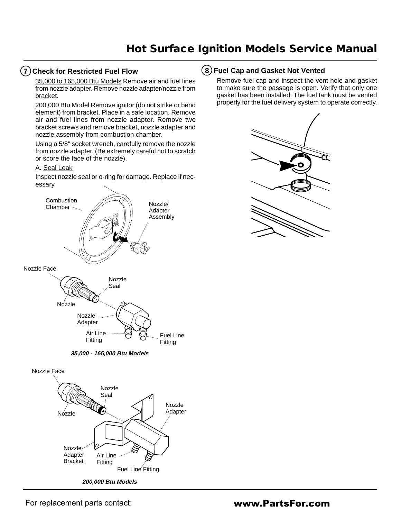#### **7 Check for Restricted Fuel Flow**

35,000 to 165,000 Btu Models Remove air and fuel lines from nozzle adapter. Remove nozzle adapter/nozzle from bracket.

200,000 Btu Model Remove ignitor (do not strike or bend element) from bracket. Place in a safe location. Remove air and fuel lines from nozzle adapter. Remove two bracket screws and remove bracket, nozzle adapter and nozzle assembly from combustion chamber.

Using a 5/8" socket wrench, carefully remove the nozzle from nozzle adapter. (Be extremely careful not to scratch or score the face of the nozzle).

#### A. Seal Leak

Inspect nozzle seal or o-ring for damage. Replace if necessary.



#### **8 Fuel Cap and Gasket Not Vented**

Remove fuel cap and inspect the vent hole and gasket to make sure the passage is open. Verify that only one gasket has been installed. The fuel tank must be vented properly for the fuel delivery system to operate correctly.

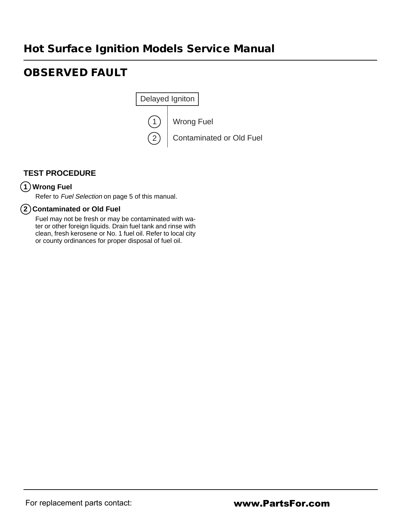# **OBSERVED FAULT**



## **TEST PROCEDURE**

## **1 Wrong Fuel**

Refer to Fuel Selection on page 5 of this manual.

### **2 Contaminated or Old Fuel**

Fuel may not be fresh or may be contaminated with water or other foreign liquids. Drain fuel tank and rinse with clean, fresh kerosene or No. 1 fuel oil. Refer to local city or county ordinances for proper disposal of fuel oil.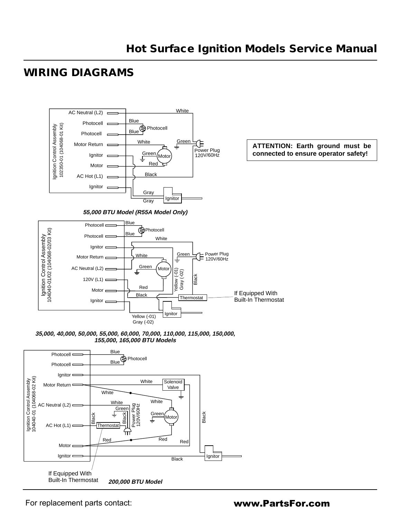# **WIRING DIAGRAMS**